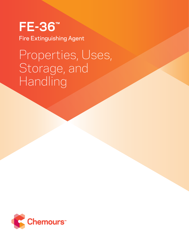## **FE-36™** Fire Extinguishing Agent

# Properties, Uses, Storage, and Handling

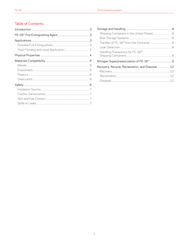## **Table of Contents**

| Handling Precautions for FE-36™                 |  |
|-------------------------------------------------|--|
|                                                 |  |
| Recovery, Recycle, Reclamation, and Disposal 12 |  |
|                                                 |  |
|                                                 |  |
|                                                 |  |
|                                                 |  |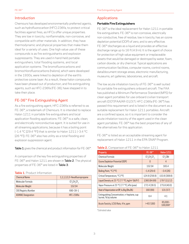## Introduction

Chemours has developed environmentally preferred agents, such as hydrofluorocarbon (HFC) 236fa, to protect critical facilities against fires, as HFCs offer unique properties. They are low in toxicity, nonflammable, non-corrosive, and compatible with other materials. In addition, they have thermodynamic and physical properties that make them ideal for a variety of uses. One high value use of these compounds is as fire extinguishants and explosion suppressants. They are used in hand-held portable extinguishers, total flooding systems, and local application systems. The bromofluorocarbons and bromochlorofluorocarbons (halons), which were developed in the 1930s, were linked to depletion of the earth's protective ozone layer. As a result, these halon compounds have been phased out of production, and fire extinguishing agents, such as HFC-236fa (FE-36), have stepped in to take their place.

## FE-36™ Fire Extinguishing Agent

As a fire extinguishing agent, HFC-236fa is referred to as FE-36™, a trademark of Chemours. It is intended to replace Halon 1211 in portable fire extinguishers and local application flooding applications. FE-36™ is a safe, clean, and electrically nonconductive agent. It is suited for use in all streaming applications, because it has a boiling point (–1.4 °C [29.4 °F]) that is similar to Halon 1211 (–3.4 °C [26 °F]). FE-36™ also has utility as a total flooding and explosion suppression agent.

Table 1 gives the chemical and product information for FE-36™.

A comparison of the key fire extinguishing properties of FE-36™ and Halon 1211 are shown in Table 2. The physical properties of FF-36™ are listed in Table 3.

#### **Table 1**. Product Information

| <b>Chemical Name</b>       | 1,1,1,3,3,3-Hexafluoropropane |
|----------------------------|-------------------------------|
| Molecular Formula          | $CF_2CH_2CF_2$                |
| Molecular Weight           | 15204                         |
| <b>CAS Registry Number</b> | 690-39-1                      |
| <b>ASHRAE Designation</b>  | HFC-236fa                     |

## Applications

#### **Portable Fire Extinguishers**

FE-36™ is the ideal replacement for Halon 1211 in portable fire extinguishers. FE-36™ is non-corrosive, electrically non-conductive, free of residue, low in toxicity, has an ozone depletion potential (ODP) of zero, and is very effective. FE-36™ discharges as a liquid and provides an effective discharge range up to 16 ft (4.9 m). It is the agent of choice for protection of high value equipment or irreplaceable assets that would be damaged or destroyed by water, foam, carbon dioxide, or dry chemical. Typical applications are communication facilities, computer rooms, control rooms, data/document storage areas, electronic manufacturing, museums, art galleries, laboratories, and aircraft.

The low acute inhalation toxicity of FE-36™ is well suited for portable fire extinguishers onboard aircraft. The FAA has published a Minimum Performance Standard (MPS) for clean agent portables for use onboard civilian transport aircraft (DOT/FAA/AR-01/37). HFC-236fa (FE-36™) has passed this requirement and is listed in the document as a suitable replacement for Halon 1211 portables. Aircraft are a confined space, so it is important to consider the acute inhalation toxicity of the agent used in the clean agent portables. FE-36™ has the best properties of any of the alternatives for this application.

FE-36™ is listed as an acceptable streaming agent for replacement of Halon 1211 in the EPA SNAP Program.

#### **Table 2.** Comparison of FE-36™ to Halon 1211

| Property                                                                          | FE-36™        | <b>Halon 1211</b>      |
|-----------------------------------------------------------------------------------|---------------|------------------------|
| Chemical Formula                                                                  | $CF3CH2CF3$   | CF <sub>2</sub> ClBr   |
| Ozone Depletion Potential (ODP)                                                   | N             | 4                      |
| Molecular Weight                                                                  | 152.04        | 165.4                  |
| Boiling Point, °C (°F)                                                            | $-1.4(29.4)$  | $-3.4(26)$             |
| Critical Temperature, °C (°F)                                                     | 124.9 (256.9) | 153.8 (308.8)          |
| Liquid Density at $25^{\circ}$ C (77 °F), kg/m <sup>3</sup> (lb/ft <sup>3</sup> ) | 1360 (84.89)  | 1797 (112.2)           |
| Vapor Pressure at 25 °C (77 °F), kPa (psia)                                       | 272.4 (39.5)  | 275.8(40.0)            |
| Heat of Vaporization at BP, kJ/kg (Btu/lb)                                        | 160 (69)      | 131(57)                |
| Extinguishing Concentration, n-heptane, cup<br>burner, % by volume                | 64            | 41                     |
| Acute Toxicity, LC50 Rats, 4 hr, ppm                                              | >457,000      | $85,000 -$<br>100,000* |

\*Estimated value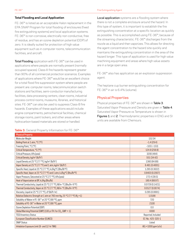#### **Total Flooding and Local Application**

FE-36™ is listed as an acceptable Halon replacement in the EPA SNAP Program for total flooding of enclosures (fixed fire extinguishing systems) and local application systems. FE-36™ is non-corrosive, electrically non-conductive, free of residue, and has an ozone depletion potential (ODP) of zero. It is ideally suited for protection of high value equipment such as in computer rooms, telecommunication facilities, and aircraft.

Total Flooding application with FE-36™ can be used in applications where people are normally present (normally occupied spaces). Class-A fire hazards represent greater than 90% of all commercial protection scenarios. Examples of applications where FE-36™ would be an excellent choice for a total flood fire suppression system where people are present are: computer rooms, telecommunication switch stations and facilities, semi-conductor manufacturing facilities, data processing centers, clean rooms, industrial process control rooms, museums, libraries, and historical sites. FE-36™ can also be used to suppress Class-B fire hazards. Examples of these applications would include: engine compartments, petrochemical facilities, chemical storage rooms, paint lockers, and other areas where hydrocarbon-based materials are stored or handled.

#### **Table 3.** General Property Information for FE-36™

Local application systems are a flooding system where there is not a complete enclosure around the hazard. In this type of system, it is important to establish the fire extinguishing concentration at a specific location as quickly as possible. This is accomplished using FE-36™, because of the streaming characteristic. FE-36™ discharges from the nozzle as a liquid and then vaporizes. This allows for directing the agent concentration to the hazard site quickly and maintains the extinguishing concentration in the area of the hazard longer. This type of application is used for high value machining equipment and areas where high value assets are in a large open area.

FE-36™ also has application as an explosion suppression agent.

The heptane cup burner extinguishing concentration for FE-36™ in air is 6.4% (volume).

#### Physical Properties

Physical properties of FE-36™ are shown in Table 3. Saturated Vapor Pressure and Density are given in Table 4. Saturated Vapor Pressure vs Temperature is shown in Figures 1 and 2. Thermodynamic properties in ENG and SI units are available from Chemours.

| <b>Physical Property</b>                                                              |                          |
|---------------------------------------------------------------------------------------|--------------------------|
| Molecular Weight                                                                      | 152.04                   |
| Boiling Point at 1 atm, °C (°F)                                                       | $-1.4(29.4)$             |
| Freezing Point, °C (°F)                                                               | $-103(-153)$             |
| Critical Temperature, °C (°F)                                                         | 124.9 (256.9)            |
| Critical Pressure, kPa (psia)                                                         | 3200 (464)               |
| Critical Density, kg/m <sup>3</sup> (lb/ft <sup>3</sup> )                             | 551 (34.42)              |
| Liquid Density at 25 °C (77 °F), kg/m <sup>3</sup> (lb/ft <sup>3</sup> )              | 1360 (84.89)             |
| Vapor Density at 25 °C (77 °F) and 1 atm, kg/m <sup>3</sup> (lb/ft <sup>3</sup> )     | 6.481 (0.4001)           |
| Specific Heat, Liquid at 25 °C (77 °F), kJ/kg°C (Btu/lb°F)                            | 1.265 (0.3022)           |
| Specific Heat, Vapor at 25 °C (77 °F) and 1 atm, kJ/kg°C (Btu/lb°F)                   | 0.8403(0.2007)           |
| Vapor Pressure, Saturated at 25 °C (77 °F), kPa (psia)                                | 272.4 (39.5)             |
| Heat of Vaporization at BP, kJ/kg (Btu/lb)                                            | 160.4 (68.97)            |
| Thermal Conductivity, Liquid at 25 °C (77 °F), W/m-°C (Btu/hr-ft°F)                   | 0.0729(0.1421)           |
| Thermal Conductivity, Vapor at 25 °C (77 °F), W/m-°C (Btu/hr-ft°F)                    | 0.0127(0.0074)           |
| Viscosity, Liquid at 25 °C (77 °F), cP (lb/ft-hr)                                     | 0.285(0.0691)            |
| Relative Dielectric Strength at 1 atm at 760 mm Hg, 25 °C (77 °F) (N <sub>2</sub> =1) | 1.0166                   |
| Solubility of Water in FE-36™ at 20 °C (68 °F), ppm                                   | 720                      |
| Solubility of FE-36™ in Water at 20 °C (68 °F), ppm                                   | 2100                     |
| Ozone Depletion Potential (ODP)                                                       | 0.0                      |
| Global Warming Potential (GWP) (100 yr ITH. for $CO2$ , GWP = 1)                      | 6300                     |
| <b>TSCA Inventory Status</b>                                                          | Reported, Included       |
| European Classification Number (ELINCS)                                               | EC-No.: 425-320-1        |
| <b>SNAP Status</b>                                                                    | Listed                   |
| Inhalation Exposure Limit (8- and 12-hr TWA)                                          | $AEL = 1000$ ppm $(v/v)$ |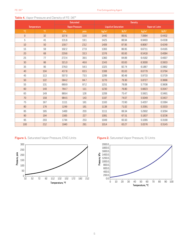|                |                    |       | Saturated             |                             |                    | <b>Density</b>    |                    |
|----------------|--------------------|-------|-----------------------|-----------------------------|--------------------|-------------------|--------------------|
|                | <b>Temperature</b> |       | <b>Vapor Pressure</b> | <b>Liquid at Saturation</b> |                    |                   | Vapor at 1 atm     |
| $^{\circ}$ C   | PF                 | kPa   | psia                  | kg/m <sup>3</sup>           | lb/ft <sup>3</sup> | kg/m <sup>3</sup> | lb/ft <sup>3</sup> |
| $\overline{0}$ | 32                 | 107.6 | 15.6                  | 1440                        | 89.91              | 7.0994            | 0.4432             |
| 5              | 41                 | 131.6 | 19.1                  | 1425                        | 88.94              | 6.9493            | 0.4338             |
| 10             | 50                 | 159.7 | 23.2                  | 1409                        | 87.95              | 6.8067            | 0.4249             |
| 15             | 59                 | 192.2 | 27.9                  | 1393                        | 86.95              | 6.6711            | 0.4165             |
| 20             | 68                 | 229.6 | 33.3                  | 1376                        | 85.93              | 6.5418            | 0.4084             |
| 25             | 77                 | 272.4 | 39.5                  | 1360                        | 84.89              | 6.4182            | 0.4007             |
| 30             | 86                 | 321.0 | 46.6                  | 1343                        | 83.83              | 6.3000            | 0.3933             |
| 35             | 95                 | 376.0 | 54.5                  | 1325                        | 82.74              | 6.1867            | 0.3862             |
| 40             | 104                | 437.8 | 63.5                  | 1308                        | 81.63              | 6.0779            | 0.3794             |
| 45             | 113                | 507.0 | 73.5                  | 1289                        | 80.48              | 5.9733            | 0.3729             |
| 50             | 122                | 584.2 | 84.7                  | 1270                        | 79.30              | 5.8727            | 0.3666             |
| 55             | 131                | 669.9 | 97.2                  | 1251                        | 78.08              | 5.7758            | 0.3606             |
| 60             | 140                | 764.7 | 111                   | 1230                        | 76.80              | 5.6823            | 0.3547             |
| 65             | 149                | 869.4 | 126                   | 1209                        | 75.47              | 5.5921            | 0.3491             |
| 70             | 158                | 984.5 | 143                   | 1187                        | 74.07              | 5.5049            | 0.3437             |
| 75             | 167                | 1111  | 161                   | 1163                        | 72.60              | 5.4207            | 0.3384             |
| 80             | 176                | 1249  | 181                   | 1138                        | 71.02              | 5.3391            | 0.3333             |
| 85             | 185                | 1400  | 203                   | 1111                        | 69.34              | 5.2602            | 0.3284             |
| 90             | 194                | 1565  | 227                   | 1081                        | 67.51              | 5.1837            | 0.3236             |
| 95             | 203                | 1744  | 253                   | 1049                        | 65.50              | 5.1095            | 0.3190             |
| 100            | 212                | 1940  | 281                   | 1014                        | 63.27              | 5.0376            | 0.3145             |

## **Table 4.** Vapor Pressure and Density of FE-36™





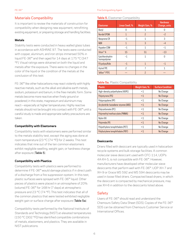## Materials Compatibility

It is important to review the materials of construction for compatibility when designing new equipment, retrofitting existing equipment, or preparing storage and handling facilities.

#### **Metals**

Stability tests were conducted in heavy walled glass tubes in accordance with ASHRAE 97. The tests were conducted with copper, aluminum, and iron strips immersed 50% in liquid FE-36™ and then aged for 14 days at 175 °C (347 °F). Visual ratings were obtained on both the liquid and metals after the exposure. There were no changes in the color of the liquid or the condition of the metals at the conclusion of this test.

FE-36™ like other halocarbons may react violently with highly reactive metals, such as the alkali and alkaline earth metals, sodium, potassium and barium, in the free metallic form. Some metals become more reactive when finely ground or powdered; in this state, magnesium and aluminum may react—especially at higher temperatures. Highly reactive metals should not be brought into contact with FE-36™ until a careful study is made and appropriate safety precautions are taken.

#### **Compatibility with Elastomers**

Compatibility tests with elastomers were performed similar to the metals stability test, except the aging was done at room temperature (23 °C [74 °F]) for 2 weeks. This test indicates that nine out of the ten common elastomers exhibit negligible swelling, weight gain, or hardness change after exposure (Table 5).

#### **Compatibility with Plastics**

Compatibility tests with plastics were performed to determine if FE-36™ would damage plastics if in direct path of a discharge from a fire suppression system. In this test, plastic surfaces were sprayed with FE-36™ liquid. Other pieces of plastics were placed in an atmosphere of 20% (volume) FE-36™ for 168 hr (7 days) at atmospheric pressure and 23 °C (74 °F). This test indicates that all of the common plastics that were tested exhibited negligible weight gain or surface change after exposure (Table 5a).

Compatibility tests performed by the National Institute of Standards and Technology (NIST) at elevated temperatures (150 °C [302 °F]) has identified compatible combinations of metals, elastomers, and plastics. They are available in NIST publications.

#### **Table 5.** Elastomer Compatibility

| <b>Elastomer</b>               | Linear Swell, % | Weight Gain, % | <b>Hardness</b><br>Change, units |
|--------------------------------|-----------------|----------------|----------------------------------|
| Butyl                          | 0               | 1              |                                  |
| Nordel EPDM                    | $\mathbf{1}$    | $\mathcal{P}$  | $-2$                             |
| Neoprene CR                    | $-1$            | 1              | 3                                |
| <b>NBR</b>                     | $\mathbf{1}$    | 3              | $-4$                             |
| Hypalon CSM                    | $-1$            | 1              | $-1$                             |
| Viton <sup>™</sup> A           | 15              | 51             | $-13$                            |
| Epichlorohydrin<br>homopolymer | $-1$            | 1              | N                                |
| FA polysulfide                 | $-1$            | $\mathbf{1}$   | $-1$                             |
| Hytrel TPE                     | $\mathcal{P}$   |                | 1                                |
| Teflon™ PTFE                   |                 | $\mathcal{P}$  |                                  |

#### **Table 5a.** Plastic Compatibility

| <b>Plastic</b>                        | Weight Gain, % | <b>Surface Condition</b> |
|---------------------------------------|----------------|--------------------------|
| High-density polyethylene (HDPE)      | $<$ 1          | No Change                |
| Polystyrene (PS)                      | <1             | No Change                |
| Polypropylene (PP)                    | <1             | No Change                |
| Acrylonitrile-butadiene-styrene (ABS) | <1             | No Change                |
| Polycarbonate (PC)                    | $<$ 1          | No Change                |
| Polymethyl methacrylate (PMMA)        | <1             | No Change                |
| Nylon 66                              | $<$ 1          | No Change                |
| Polyimide (PI)                        | <1             | No Change                |
| Polyethylene terephthalate (PET)      | <1             | No Change                |
| Polybutylene terephthalate (PBT)      | $<$ 1          | No Change                |

#### **Desiccants**

Driers filled with desiccant are typically used in halocarbon recycle systems and bulk storage facilities. A common molecular sieve desiccant used with CFC-114, UOP's 4A-XH-5, is not compatible with FE-36™. However, manufacturers have developed other molecular sieve desiccants that perform well with FE-36™. UOP XH-7 and XH-9 or Grace MS 592 and MS 594 desiccants may be used in loose filled driers. Compacted bead dryers, in which the desiccant is compacted by mechanical pressure, may use XH-6 in addition to the desiccants listed above.

## **Safety**

Users of FE-36™ should read and understand the Chemours Safety Data Sheet (SDS). Copies of the FE-36™ SDS can be obtained from Chemours Customer Service or International Offices.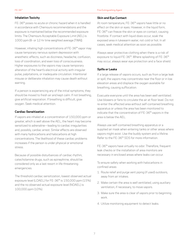#### **Inhalation Toxicity**

FE-36™ poses no acute or chronic hazard when it is handled in accordance with Chemours recommendations and the exposure is maintained below the recommended exposure limits. The Chemours Acceptable Exposure Limit (AEL) is 1000 ppm (8- or 12-hr time weighted average [TWA]).

However, inhaling high concentrations of FE-36™ vapor may cause temporary nervous system depression with anesthetic effects, such as dizziness, headache, confusion, loss of coordination, and even loss of consciousness. Higher exposures to the vapors may cause temporary alteration of the heart's electrical activity with irregular pulse, palpitations, or inadequate circulation. Intentional misuse or deliberate inhalation may cause death without warning.

If a person is experiencing any of the initial symptoms, they should be moved to fresh air and kept calm. If not breathing, give artificial respiration. If breathing is difficult, give oxygen. Seek medical attention.

#### **Cardiac Sensitization**

If vapors are inhaled at a concentration of 150,000 ppm or greater, which is well above the AEL, the heart may become sensitized to adrenaline—leading to cardiac irregularities and, possibly, cardiac arrest. Similar effects are observed with many hydrocarbons and halocarbons at high concentrations. The likelihood of these cardiac problems increases if the person is under physical or emotional stress.

Because of possible disturbances of cardiac rhythm, catecholamine drugs, such as epinephrine, should be considered only as a last resort in life threatening emergencies.

The threshold cardiac sensitization, lowest observed actual exposure level (LOAEL) for FE-36™ is 150,000 ppm (15%) and the no observed actual exposure level (NOAEL) is 100,000 ppm (10%).

#### **Skin and Eye Contact**

At room temperature, FE-36™ vapors have little or no effect on the skin or eyes. However, in the liquid form, FE-36™ can freeze the skin or eyes on contact, causing frostbite. If contact with liquid does occur, soak the exposed area in lukewarm water, not cold or hot. In all cases, seek medical attention as soon as possible.

Always wear protective clothing when there is a risk of exposure to liquid FE-36™. Where splashing of FE-36™ may occur, always wear eye protection and a face shield.

#### **Spills or Leaks**

If a large release of vapors occurs, such as from a large leak or spill, the vapors may concentrate near the floor or in low elevation areas and displace the oxygen available for breathing, causing suffocation.

Evacuate everyone until the area has been well ventilated. Use blowers or fans to circulate the air at floor level. Do not re-enter the affected area without self-contained breathing apparatus or unless the area has been monitored to indicate that the concentration of FE-36™ vapors in the area is below the AEL.

Always use self-contained breathing apparatus or a supplied air mask when entering tanks or other areas where vapors might exist. Use the buddy system and a lifeline. Refer to the FE-36™ SDS for more information.

FE-36™ vapors have virtually no odor. Therefore, frequent leak checks or the installation of area monitors are necessary in enclosed areas where leaks can occur.

To ensure safety when working with halocarbons in confined areas:

- 1. Route relief and purge vent piping (if used) outdoors, away from air intakes.
- 2. Make certain the area is well ventilated, using auxiliary ventilation, if necessary, to move vapors.
- 3. Make sure the area is clear of vapors prior to beginning work.
- 4. Utilize monitoring equipment to detect leaks.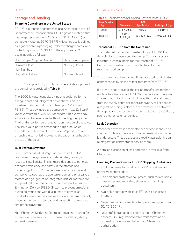#### FE-36™ Fire Extinguishing Agent

## Storage and Handling

#### **Shipping Containers in the United States**

FE-36™ is a liquefied compressed gas. According to the U.S. Department of Transportation (DOT), a gas is a material that has a vapor pressure of >43.5 psi at 50 °C (122 °F) or completely vapor at 20 °C (68 °F). A liquefied gas is defined as a gas, which in a packaging under the charged pressure is partially liquid at 20 °C (68 °F). The appropriate DOT designation is as follows:

| DOT Proper Shipping Name: | Hexafluoropropane |
|---------------------------|-------------------|
| Hazard Class:             | Not Regulated     |
| UN Number.:               |                   |
| DOT/IMO Labels:           | Not Regulated     |

FE-36™ is shipped in 1,000-lb containers. A description of the container is provided in Table 6.

The 1000-lb water capacity cylinder is designed for fire extinguishant and refrigerant applications. This is a palletized cylinder that can contain up to 1200 lb of FE-36™. These cylinders are equipped with two (2) liquid/ vapor valves with a CGA-660 connector. This valve body allows liquid to be removed without inverting the cylinder. The handwheel for liquid removal is on the side of the valve. The liquid valve port is attached to a dip tube, which extends to the bottom of the cylinder. Vapor is removed through the same fitting by using the vapor handwheel on the top of the valve.

#### **Bulk Storage Systems**

Chemours sells bulk storage systems to its FE-36™ customers. The systems are prefabricated, tested, and ready to install onsite. The units are designed to optimize economy, efficiency, and safety in the storage and dispensing of FE-36™. The delivered systems include all components, such as storage tanks, pumps, piping, valves, motors, and gauges, as an integrated unit. All systems are equipped with the Chemours Fluorochemical Emissions Elimination Delivery (FEED) System to prevent emissions during deliveries and with dual pumps to provide an installed spare. The units are skid-mounted and require only placement on a concrete pad and connection to electrical and process systems.

Your Chemours Marketing Representative can arrange for guidance on site selection, purchase, installation, startup, and maintenance.

**Table 6.** Specifications of Shipping Containers for FE-36™

| <b>Water Capacity,</b><br>$lb$ (kg) | <b>Dimensions</b>               | DOT<br><b>Specification</b> | Net Weight, lb (kg) |
|-------------------------------------|---------------------------------|-----------------------------|---------------------|
| 1000 (454)                          | $50"H \times 30'0D$             | 4BW260                      | 1200 (544)          |
| Tank Trailer                        | 8,927L<br>$(5,000 \text{ gal})$ | MC-330 or -331              | 37,000 (16,784)     |

### **Transfer of FE-36™ from the Container**

The preferred method for transfer of liquid FE-36™ from the cylinder is to use a suitable pump. There are several industrial pumps suitable for the transfer of FE-36™. Contact an industrial pump manufacturer for the recommended pump.

The receiving container should be evacuated to eliminate contamination by air and to facilitate transfer of FE-36™.

If a pump is not available, the chilled transfer line method will facilitate transfer of FE-36™ to the receiving container. This method chills the transfer line as the material flows from the supply container to the receiver. A coil of copper refrigeration tubing is placed in the transfer line between the supply and the receiver. The coil is placed in a cold bath, such as water ice or carbon ice.

#### **Leak Detection**

Whenever a system is assembled or serviced, it should be checked for leaks. There are many commercially available leak detectors. These devises are readily available through a refrigeration contractor or service store.

A detailed discussion of leak detection is available from **Chemours** 

#### **Handling Precautions for FE-36™ Shipping Containers**

The following rules for handling FE-36™ containers are strongly recommended:

- Use personal protective equipment, such as side shield glasses, gloves, and safety shoes when handling containers.
- Avoid skin contact with liquid FE-36™; it can cause frostbite.
- Never heat a container to a temperature higher than 52 °C (125 °F).
- Never refill returnable cylinders without Chemours consent. DOT regulations forbid transportation of returnable cylinders refilled without Chemours authorization.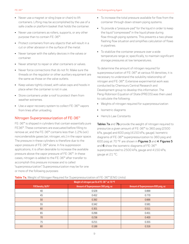- Never use a magnet or sling (rope or chain) to lift containers. Lifting may be accomplished by the use of a safe cradle or platform basket that holds the container.
- Never use containers as rollers, supports, or any other purpose than to contain FE-36™.
- Protect containers from any objects that will result in a cut or other abrasion in the surface of the metal.
- Never tamper with the safety devices in the valves or container.
- Never attempt to repair or alter containers or valves.
- Never force connections that do not fit. Make sure the threads on the regulator or other auxiliary equipment are the same as those on the valve outlets.
- Keep valves tightly closed, with valve caps and hoods in place when the container is not in use.
- Store containers under a roof to protect them from weather extremes.
- Use a vapor recovery system to collect FE-36™ vapors from lines after unloading.

## Nitrogen Superpressurization of FE-36™

FE-36™ is shipped in cylinders that contain essentially pure FE36™. These containers are evacuated before filling to remove air, and the FE-36™ contains less than 1.2% (vol.) noncondensible gases (air, nitrogen, etc.) in the vapor space. The pressure in these cylinders is therefore due to the vapor pressure of FE-36™ alone. In fire suppression applications, it is often desirable to increase the available pressure above the vapor pressure of FE-36™. In these cases, nitrogen is added to the FE-36™ after transfer to accomplish this pressure increase and is called "superpressurization." Superpressurization may be for one or more of the following purposes:

- To increase the total pressure available for flow from the container through down-stream piping systems.
- To provide a "pressure-pad" for the liquid in order to keep the liquid "compressed" in the liquid phase during flow-through piping systems. This prevents a two-phase flashing flow situation and simplifies calculation of flows in pipelines.
- To stabilize the container pressure over a wide temperature range or, specifically, to maintain significant storage pressures at low temperatures.

To determine the amount of nitrogen required for superpressurization of FE-36™ at various fill densities, it is necessary to understand the solubility relationship of nitrogen and FE-36™. Extensive experimental work was conducted by Chemours Central Research and Development group to develop this information. The Peng-Robinson Equation of State (PREOS) was then used to calculate the following:

- Weights of nitrogen required for superpressurization
- Isometric diagrams
- Henry's Law Constants

Tables 7a and 7b provide the weight of nitrogen required to pressurize a given amount of FE-36™ to 360 psig (2500 kPa, gauge) and 600 psig (4150 kPa, gauge). Isometric diagrams of FE-36™ superpressurization to 360 psig and 600 psig at 70 °F are shown in Figures 3 and 4. Figures 5 and 6 show the isometric diagrams of FE-36™ superpressurized to 2500 kPa, gauge and 4150 kPa, gauge at 21 °C.

| $\check{ }$<br>$\check{\phantom{a}}$         |                                      |                                      |  |  |
|----------------------------------------------|--------------------------------------|--------------------------------------|--|--|
| Weight of nitrogen per lb of FE-36™ at 70 °F |                                      |                                      |  |  |
| Fill Density, lb/ft <sup>3</sup>             | Amount of Superpressure 360 psig, oz | Amount of Superpressure 600 psig, oz |  |  |
| 40                                           | 0.528                                | 0.899                                |  |  |
| 45                                           | 0.452                                | 0.770                                |  |  |
| 50                                           | 0.392                                | 0.666                                |  |  |
| 55                                           | 0.342                                | 0.581                                |  |  |
| 60                                           | 0.301                                | 0.511                                |  |  |
| 65                                           | 0.266                                | 0.451                                |  |  |
| 70                                           | 0.236                                | 0.400                                |  |  |
| 75                                           | 0.211                                | 0.355                                |  |  |
| 80                                           | 0.188                                | 0.316                                |  |  |

#### **Table 7a.** Weight of Nitrogen Required for Superpressurization of FE-36™ (ENG Units)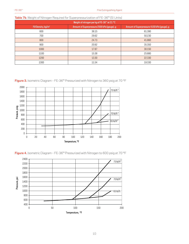| able 7b. Weight of Nitrogen Required for Superpressurization of FE-36™ (SI Units)<br>Weight of nitrogen per kg of FE-36™ at 21 °C |       |        |  |  |
|-----------------------------------------------------------------------------------------------------------------------------------|-------|--------|--|--|
|                                                                                                                                   |       |        |  |  |
| 600                                                                                                                               | 36.15 | 61.390 |  |  |
| 700                                                                                                                               | 29.62 | 50.230 |  |  |
| 800                                                                                                                               | 24.73 | 41.860 |  |  |
| 900                                                                                                                               | 20.92 | 35.350 |  |  |
| 1000                                                                                                                              | 17.87 | 30.150 |  |  |
| 1100                                                                                                                              | 15.38 | 25.880 |  |  |
| 1200                                                                                                                              | 13.30 | 22,330 |  |  |
| 1300                                                                                                                              | 11.54 | 19.330 |  |  |

#### **Table 7b**. Weight of Nitrogen Required for Superpressurization of FE-36™ (SI Units)

**Figure 3.** Isometric Diagram – FE-36™ Pressurized with Nitrogen to 360 psig at 70 °F





**Figure 4.** Isometric Diagram – FE-36™ Pressurized with Nitrogen to 600 psig at 70 °F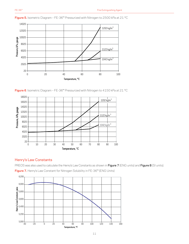

**Figure 5.** Isometric Diagram – FE-36™ Pressurized with Nitrogen to 2500 kPa at 21 °C





## Henry's Law Constants

PREOS was also used to calculate the Henry's Law Constants as shown in Figure 7 (ENG units) and Figure 8 (SI units).

**Figure 7.** Henry's Law Constant for Nitrogen Solubility in FE-36™ (ENG Units)